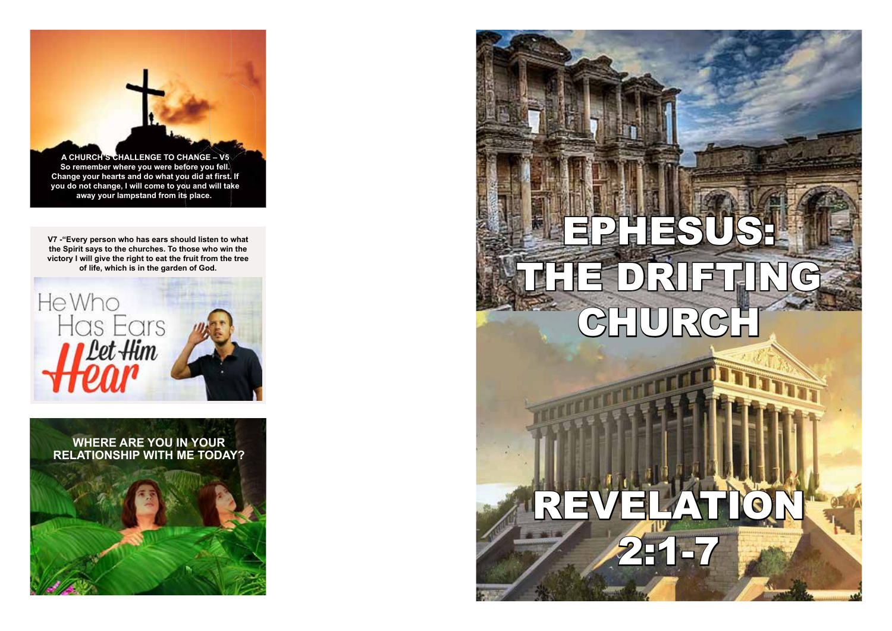